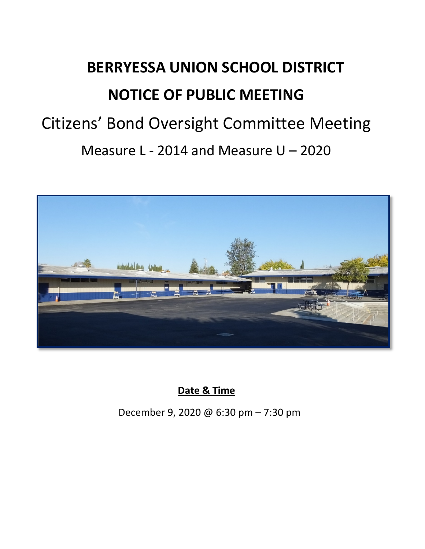# **BERRYESSA UNION SCHOOL DISTRICT NOTICE OF PUBLIC MEETING** Citizens' Bond Oversight Committee Meeting Measure L - 2014 and Measure U – 2020



**Date & Time**

December 9, 2020 @ 6:30 pm – 7:30 pm